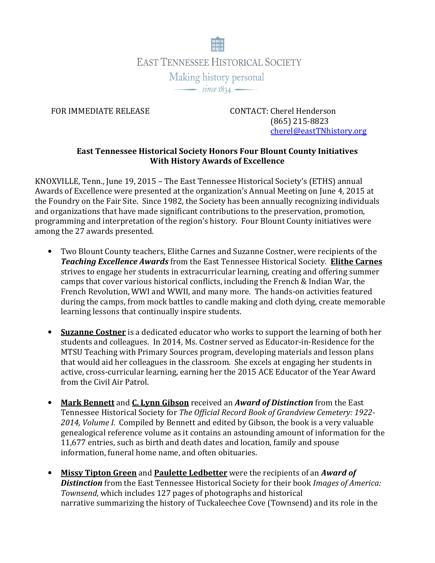

FOR IMMEDIATE RELEASE CONTACT: Cherel Henderson (865) 215-8823 cherel@eastTNhistory.org

## **East Tennessee Historical Society Honors Four Blount County Initiatives With History Awards of Excellence**

KNOXVILLE, Tenn., June 19, 2015 – The East Tennessee Historical Society's (ETHS) annual Awards of Excellence were presented at the organization's Annual Meeting on June 4, 2015 at the Foundry on the Fair Site. Since 1982, the Society has been annually recognizing individuals and organizations that have made significant contributions to the preservation, promotion, programming and interpretation of the region's history. Four Blount County initiatives were among the 27 awards presented.

- Two Blount County teachers, Elithe Carnes and Suzanne Costner, were recipients of the *Teaching Excellence Awards* from the East Tennessee Historical Society. **Elithe Carnes** strives to engage her students in extracurricular learning, creating and offering summer camps that cover various historical conflicts, including the French & Indian War, the French Revolution, WWI and WWII, and many more. The hands-on activities featured during the camps, from mock battles to candle making and cloth dying, create memorable learning lessons that continually inspire students.
- **Suzanne Costner** is a dedicated educator who works to support the learning of both her students and colleagues. In 2014, Ms. Costner served as Educator-in-Residence for the MTSU Teaching with Primary Sources program, developing materials and lesson plans that would aid her colleagues in the classroom. She excels at engaging her students in active, cross-curricular learning, earning her the 2015 ACE Educator of the Year Award from the Civil Air Patrol.
- **Mark Bennett** and **C. Lynn Gibson** received an *Award of Distinction* from the East Tennessee Historical Society for *The Official Record Book of Grandview Cemetery: 1922- 2014, Volume I.* Compiled by Bennett and edited by Gibson, the book is a very valuable genealogical reference volume as it contains an astounding amount of information for the 11,677 entries, such as birth and death dates and location, family and spouse information, funeral home name, and often obituaries.
- **Missy Tipton Green** and **Paulette Ledbetter** were the recipients of an *Award of Distinction* from the East Tennessee Historical Society for their book *Images of America: Townsend*, which includes 127 pages of photographs and historical narrative summarizing the history of Tuckaleechee Cove (Townsend) and its role in the